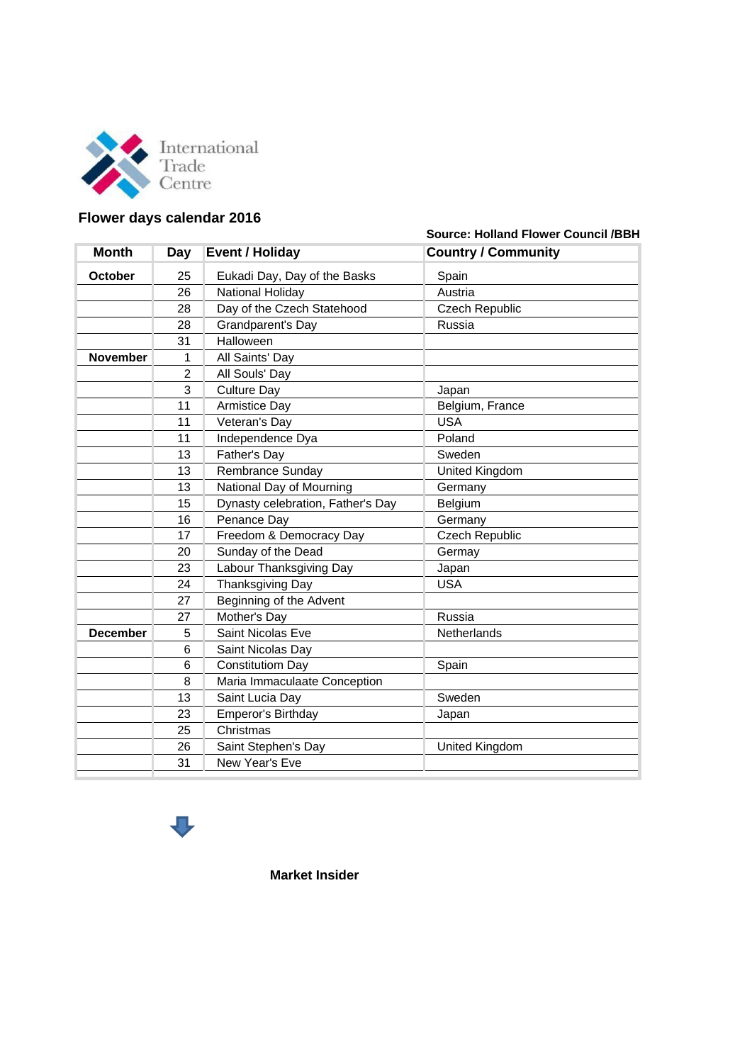

## **Flower days calendar 2016**

**Source: Holland Flower Council /BBH**

| <b>Month</b>    | Day            | <b>Event / Holiday</b>            | <b>Country / Community</b> |
|-----------------|----------------|-----------------------------------|----------------------------|
| <b>October</b>  | 25             | Eukadi Day, Day of the Basks      | Spain                      |
|                 | 26             | National Holiday                  | Austria                    |
|                 | 28             | Day of the Czech Statehood        | Czech Republic             |
|                 | 28             | Grandparent's Day                 | Russia                     |
|                 | 31             | Halloween                         |                            |
| <b>November</b> | 1              | All Saints' Day                   |                            |
|                 | $\overline{2}$ | All Souls' Day                    |                            |
|                 | 3              | <b>Culture Day</b>                | Japan                      |
|                 | 11             | <b>Armistice Day</b>              | Belgium, France            |
|                 | 11             | Veteran's Day                     | <b>USA</b>                 |
|                 | 11             | Independence Dya                  | Poland                     |
|                 | 13             | Father's Day                      | Sweden                     |
|                 | 13             | Rembrance Sunday                  | United Kingdom             |
|                 | 13             | National Day of Mourning          | Germany                    |
|                 | 15             | Dynasty celebration, Father's Day | Belgium                    |
|                 | 16             | Penance Day                       | Germany                    |
|                 | 17             | Freedom & Democracy Day           | <b>Czech Republic</b>      |
|                 | 20             | Sunday of the Dead                | Germay                     |
|                 | 23             | Labour Thanksgiving Day           | Japan                      |
|                 | 24             | <b>Thanksgiving Day</b>           | <b>USA</b>                 |
|                 | 27             | Beginning of the Advent           |                            |
|                 | 27             | Mother's Day                      | Russia                     |
| <b>December</b> | 5              | <b>Saint Nicolas Eve</b>          | Netherlands                |
|                 | 6              | Saint Nicolas Day                 |                            |
|                 | 6              | <b>Constitutiom Day</b>           | Spain                      |
|                 | 8              | Maria Immaculaate Conception      |                            |
|                 | 13             | Saint Lucia Day                   | Sweden                     |
|                 | 23             | Emperor's Birthday                | Japan                      |
|                 | 25             | Christmas                         |                            |
|                 | 26             | Saint Stephen's Day               | United Kingdom             |
|                 | 31             | New Year's Eve                    |                            |
|                 |                |                                   |                            |



**Market Insider**